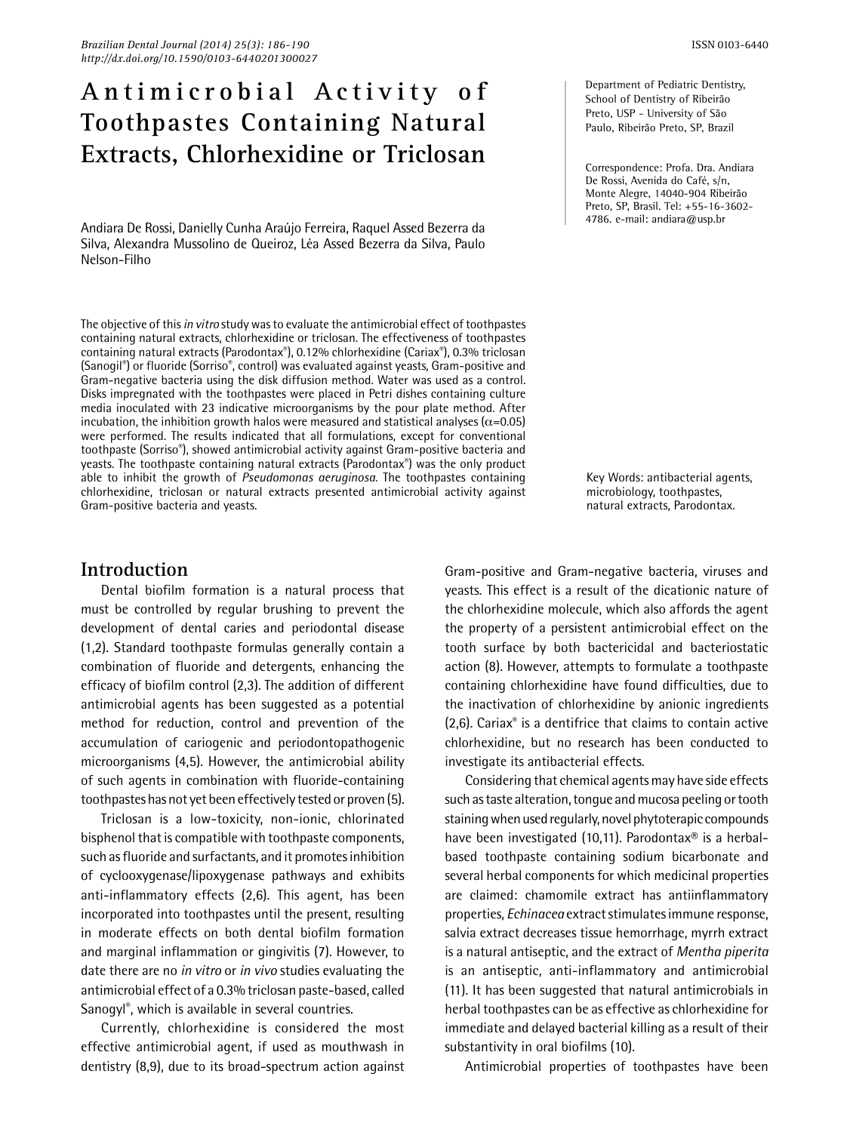# Antimicrobial Activity of **Toothpastes Containing Natural Extracts, Chlorhexidine or Triclosan**

Andiara De Rossi, Danielly Cunha Araújo Ferreira, Raquel Assed Bezerra da Silva, Alexandra Mussolino de Queiroz, Léa Assed Bezerra da Silva, Paulo Nelson-Filho

The objective of this *in vitro* study was to evaluate the antimicrobial effect of toothpastes containing natural extracts, chlorhexidine or triclosan. The effectiveness of toothpastes containing natural extracts (Parodontax®), 0.12% chlorhexidine (Cariax®), 0.3% triclosan (Sanogil®) or fluoride (Sorriso®, control) was evaluated against yeasts, Gram-positive and Gram-negative bacteria using the disk diffusion method. Water was used as a control. Disks impregnated with the toothpastes were placed in Petri dishes containing culture media inoculated with 23 indicative microorganisms by the pour plate method. After incubation, the inhibition growth halos were measured and statistical analyses ( $\alpha$ =0.05) were performed. The results indicated that all formulations, except for conventional toothpaste (Sorriso®), showed antimicrobial activity against Gram-positive bacteria and yeasts. The toothpaste containing natural extracts (Parodontax®) was the only product able to inhibit the growth of *Pseudomonas aeruginosa*. The toothpastes containing chlorhexidine, triclosan or natural extracts presented antimicrobial activity against Gram-positive bacteria and yeasts.

## **Introduction**

Dental biofilm formation is a natural process that must be controlled by regular brushing to prevent the development of dental caries and periodontal disease (1,2). Standard toothpaste formulas generally contain a combination of fluoride and detergents, enhancing the efficacy of biofilm control (2,3). The addition of different antimicrobial agents has been suggested as a potential method for reduction, control and prevention of the accumulation of cariogenic and periodontopathogenic microorganisms (4,5). However, the antimicrobial ability of such agents in combination with fluoride-containing toothpastes has not yet been effectively tested or proven (5).

Triclosan is a low-toxicity, non-ionic, chlorinated bisphenol that is compatible with toothpaste components, such as fluoride and surfactants, and it promotes inhibition of cyclooxygenase/lipoxygenase pathways and exhibits anti-inflammatory effects (2,6). This agent, has been incorporated into toothpastes until the present, resulting in moderate effects on both dental biofilm formation and marginal inflammation or gingivitis (7). However, to date there are no *in vitro* or *in vivo* studies evaluating the antimicrobial effect of a 0.3% triclosan paste-based, called Sanogyl®, which is available in several countries.

Currently, chlorhexidine is considered the most effective antimicrobial agent, if used as mouthwash in dentistry (8,9), due to its broad-spectrum action against Department of Pediatric Dentistry, School of Dentistry of Ribeirão Preto, USP - University of São Paulo, Ribeirão Preto, SP, Brazil

Correspondence: Profa. Dra. Andiara De Rossi, Avenida do Café, s/n, Monte Alegre, 14040-904 Ribeirão Preto, SP, Brasil. Tel: +55-16-3602- 4786. e-mail: andiara@usp.br

Key Words: antibacterial agents, microbiology, toothpastes, natural extracts, Parodontax.

Gram-positive and Gram-negative bacteria, viruses and yeasts. This effect is a result of the dicationic nature of the chlorhexidine molecule, which also affords the agent the property of a persistent antimicrobial effect on the tooth surface by both bactericidal and bacteriostatic action (8). However, attempts to formulate a toothpaste containing chlorhexidine have found difficulties, due to the inactivation of chlorhexidine by anionic ingredients (2,6). Cariax® is a dentifrice that claims to contain active chlorhexidine, but no research has been conducted to investigate its antibacterial effects.

Considering that chemical agents may have side effects such as taste alteration, tongue and mucosa peeling or tooth staining when used regularly, novel phytoterapic compounds have been investigated (10,11). Parodontax® is a herbalbased toothpaste containing sodium bicarbonate and several herbal components for which medicinal properties are claimed: chamomile extract has antiinflammatory properties, *Echinacea* extract stimulates immune response, salvia extract decreases tissue hemorrhage, myrrh extract is a natural antiseptic, and the extract of *Mentha piperita* is an antiseptic, anti-inflammatory and antimicrobial (11). It has been suggested that natural antimicrobials in herbal toothpastes can be as effective as chlorhexidine for immediate and delayed bacterial killing as a result of their substantivity in oral biofilms (10).

Antimicrobial properties of toothpastes have been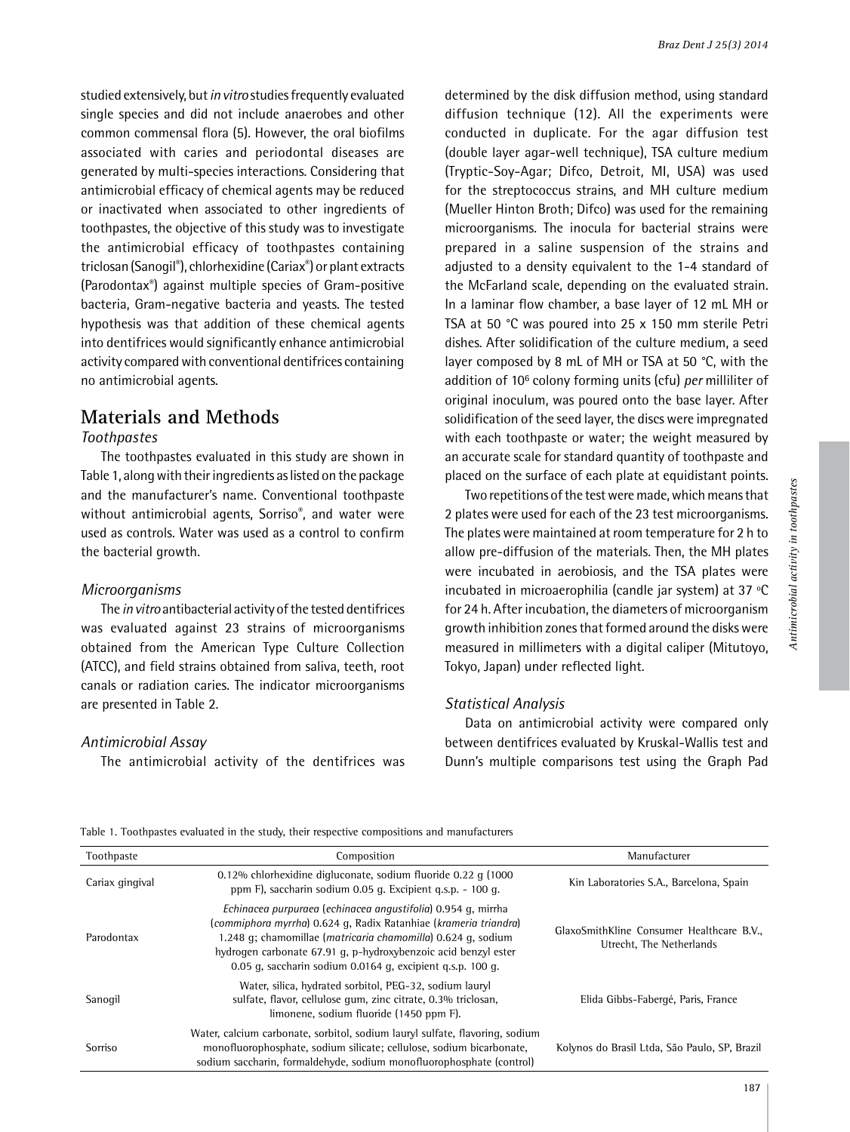studied extensively, but *in vitro* studies frequently evaluated single species and did not include anaerobes and other common commensal flora (5). However, the oral biofilms associated with caries and periodontal diseases are generated by multi-species interactions. Considering that antimicrobial efficacy of chemical agents may be reduced or inactivated when associated to other ingredients of toothpastes, the objective of this study was to investigate the antimicrobial efficacy of toothpastes containing triclosan (Sanogil®), chlorhexidine (Cariax®) or plant extracts (Parodontax®) against multiple species of Gram-positive bacteria, Gram-negative bacteria and yeasts. The tested hypothesis was that addition of these chemical agents into dentifrices would significantly enhance antimicrobial

# **Materials and Methods**

no antimicrobial agents.

#### *Toothpastes*

The toothpastes evaluated in this study are shown in Table 1, along with their ingredients as listed on the package and the manufacturer's name. Conventional toothpaste without antimicrobial agents, Sorriso®, and water were used as controls. Water was used as a control to confirm the bacterial growth.

activity compared with conventional dentifrices containing

#### *Microorganisms*

The *in vitro* antibacterial activity of the tested dentifrices was evaluated against 23 strains of microorganisms obtained from the American Type Culture Collection (ATCC), and field strains obtained from saliva, teeth, root canals or radiation caries. The indicator microorganisms are presented in Table 2.

#### *Antimicrobial Assay*

The antimicrobial activity of the dentifrices was

determined by the disk diffusion method, using standard diffusion technique (12). All the experiments were conducted in duplicate. For the agar diffusion test (double layer agar-well technique), TSA culture medium (Tryptic-Soy-Agar; Difco, Detroit, MI, USA) was used for the streptococcus strains, and MH culture medium (Mueller Hinton Broth; Difco) was used for the remaining microorganisms. The inocula for bacterial strains were prepared in a saline suspension of the strains and adjusted to a density equivalent to the 1-4 standard of the McFarland scale, depending on the evaluated strain. In a laminar flow chamber, a base layer of 12 mL MH or TSA at 50 °C was poured into 25 x 150 mm sterile Petri dishes. After solidification of the culture medium, a seed layer composed by 8 mL of MH or TSA at 50 °C, with the addition of 106 colony forming units (cfu) *per* milliliter of original inoculum, was poured onto the base layer. After solidification of the seed layer, the discs were impregnated with each toothpaste or water; the weight measured by an accurate scale for standard quantity of toothpaste and placed on the surface of each plate at equidistant points.

Two repetitions of the test were made, which means that 2 plates were used for each of the 23 test microorganisms. The plates were maintained at room temperature for 2 h to allow pre-diffusion of the materials. Then, the MH plates were incubated in aerobiosis, and the TSA plates were incubated in microaerophilia (candle jar system) at 37 ºC for 24 h. After incubation, the diameters of microorganism growth inhibition zones that formed around the disks were measured in millimeters with a digital caliper (Mitutoyo, Tokyo, Japan) under reflected light.

#### *Statistical Analysis*

Data on antimicrobial activity were compared only between dentifrices evaluated by Kruskal-Wallis test and Dunn's multiple comparisons test using the Graph Pad

|  |  |  |  |  | Table 1. Toothpastes evaluated in the study, their respective compositions and manufacturers |  |
|--|--|--|--|--|----------------------------------------------------------------------------------------------|--|
|--|--|--|--|--|----------------------------------------------------------------------------------------------|--|

| Toothpaste      | Composition                                                                                                                                                                                                                                                                                                                      | Manufacturer                                                          |
|-----------------|----------------------------------------------------------------------------------------------------------------------------------------------------------------------------------------------------------------------------------------------------------------------------------------------------------------------------------|-----------------------------------------------------------------------|
| Cariax gingival | 0.12% chlorhexidine digluconate, sodium fluoride 0.22 g (1000<br>ppm F), saccharin sodium 0.05 q. Excipient q.s.p. - 100 q.                                                                                                                                                                                                      | Kin Laboratories S.A., Barcelona, Spain                               |
| Parodontax      | Echinacea purpuraea (echinacea angustifolia) 0.954 g, mirrha<br>(commiphora myrrha) 0.624 g, Radix Ratanhiae (krameria triandra)<br>1.248 g; chamomillae (matricaria chamomilla) 0.624 g, sodium<br>hydrogen carbonate 67.91 g, p-hydroxybenzoic acid benzyl ester<br>0.05 g, saccharin sodium 0.0164 g, excipient q.s.p. 100 g. | GlaxoSmithKline Consumer Healthcare B.V.,<br>Utrecht, The Netherlands |
| Sanogil         | Water, silica, hydrated sorbitol, PEG-32, sodium lauryl<br>sulfate, flavor, cellulose qum, zinc citrate, 0.3% triclosan,<br>limonene, sodium fluoride (1450 ppm F).                                                                                                                                                              | Elida Gibbs-Fabergé, Paris, France                                    |
| Sorriso         | Water, calcium carbonate, sorbitol, sodium lauryl sulfate, flavoring, sodium<br>monofluorophosphate, sodium silicate; cellulose, sodium bicarbonate,<br>sodium saccharin, formaldehyde, sodium monofluorophosphate (control)                                                                                                     | Kolynos do Brasil Ltda, São Paulo, SP, Brazil                         |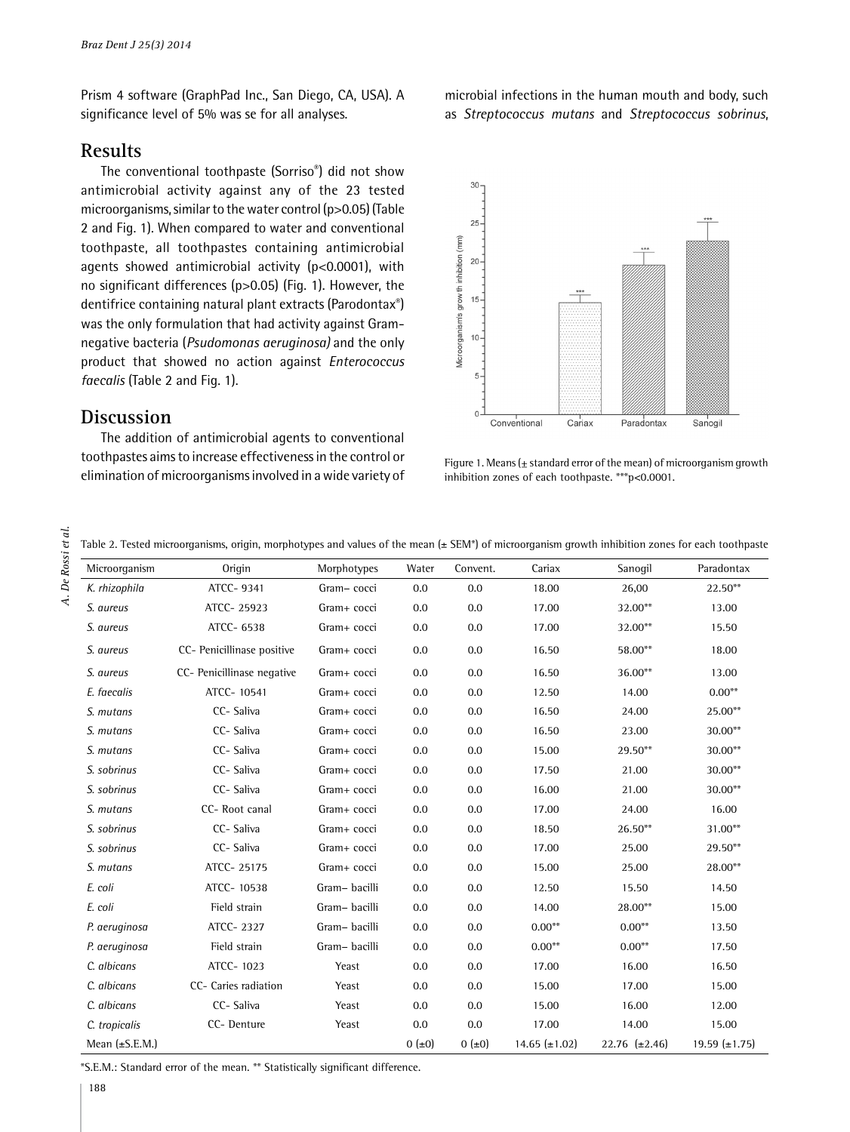Prism 4 software (GraphPad Inc., San Diego, CA, USA). A significance level of 5% was se for all analyses.

## **Results**

The conventional toothpaste (Sorriso®) did not show antimicrobial activity against any of the 23 tested microorganisms, similar to the water control (p>0.05) (Table 2 and Fig. 1). When compared to water and conventional toothpaste, all toothpastes containing antimicrobial agents showed antimicrobial activity  $(p<0.0001)$ , with no significant differences (p>0.05) (Fig. 1). However, the dentifrice containing natural plant extracts (Parodontax®) was the only formulation that had activity against Gramnegative bacteria (*Psudomonas aeruginosa)* and the only product that showed no action against *Enterococcus faecalis* (Table 2 and Fig. 1).

# **Discussion**

The addition of antimicrobial agents to conventional toothpastes aims to increase effectiveness in the control or elimination of microorganisms involved in a wide variety of microbial infections in the human mouth and body, such as *Streptococcus mutans* and *Streptococcus sobrinus*,



Figure 1. Means  $(\pm$  standard error of the mean) of microorganism growth inhibition zones of each toothpaste. \*\*\*p<0.0001.

Table 2. Tested microorganisms, origin, morphotypes and values of the mean (± SEM\*) of microorganism growth inhibition zones for each toothpaste Microorganism Origin Morphotypes Water Convent. Cariax Sanogil Paradontax *K. rhizophila* ATCC- 9341 Gram− cocci 0.0 0.0 18.00 26,00 22.50\*\* *S. aureus* ATCC- 25923 Gram+ cocci 0.0 0.0 17.00 32.00\*\* 13.00 *S. aureus* ATCC- 6538 Gram+ cocci 0.0 0.0 17.00 32.00\*\* 15.50 *S. aureus* CC- Penicillinase positive Gram+ cocci 0.0 0.0 16.50 58.00\*\* 18.00 *S. aureus* CC- Penicillinase negative Gram+ cocci 0.0 0.0 16.50 36.00\*\* 13.00 *E. faecalis* ATCC- 10541 Gram+ cocci 0.0 0.0 12.50 14.00 0.00\*\* *S. mutans* CC- Saliva Gram+ cocci 0.0 0.0 16.50 24.00 25.00\*\* *S. mutans* CC- Saliva Gram+ cocci 0.0 0.0 16.50 23.00 30.00\*\* *S. mutans* CC- Saliva Gram+ cocci 0.0 0.0 15.00 29.50\*\* 30.00\*\* *S. sobrinus* CC- Saliva Gram+ cocci 0.0 0.0 17.50 21.00 30.00\*\* *S. sobrinus* CC- Saliva Gram+ cocci 0.0 0.0 16.00 21.00 30.00\*\* *S. mutans* CC- Root canal Gram+ cocci 0.0 0.0 17.00 24.00 16.00 *S. sobrinus* CC- Saliva Gram+ cocci 0.0 0.0 18.50 26.50\*\* 31.00\*\* *S. sobrinus* CC- Saliva Gram+ cocci 0.0 0.0 17.00 25.00 29.50\*\* *S. mutans* ATCC- 25175 Gram+ cocci 0.0 0.0 15.00 25.00 28.00\*\* *E. coli* ATCC- 10538 Gram− bacilli 0.0 0.0 12.50 15.50 14.50 *E. coli* Field strain Gram− bacilli 0.0 0.0 14.00 28.00\*\* 15.00 *P. aeruginosa* ATCC- 2327 Gram− bacilli 0.0 0.0 0.00\*\* 0.00\*\* 13.50 *P. aeruginosa* Field strain Gram− bacilli 0.0 0.0 0.00\*\* 0.00\*\* 17.50 *C. albicans* ATCC- 1023 Yeast 0.0 0.0 17.00 16.00 16.50 *C. albicans* CC- Caries radiation Yeast 0.0 0.0 15.00 17.00 15.00 *C. albicans* CC- Saliva Yeast 0.0 0.0 15.00 16.00 12.00 *C. tropicalis* CC- Denture Yeast 0.0 0.0 17.00 14.00 15.00 Mean (±S.E.M.) 19.59 (±1.75) 0 (±0) 0 (±0) 14.65 (±1.02) 22.76 (±2.46) 19.59 (±1.75) \*S.E.M.: Standard error of the mean. \*\* Statistically significant difference.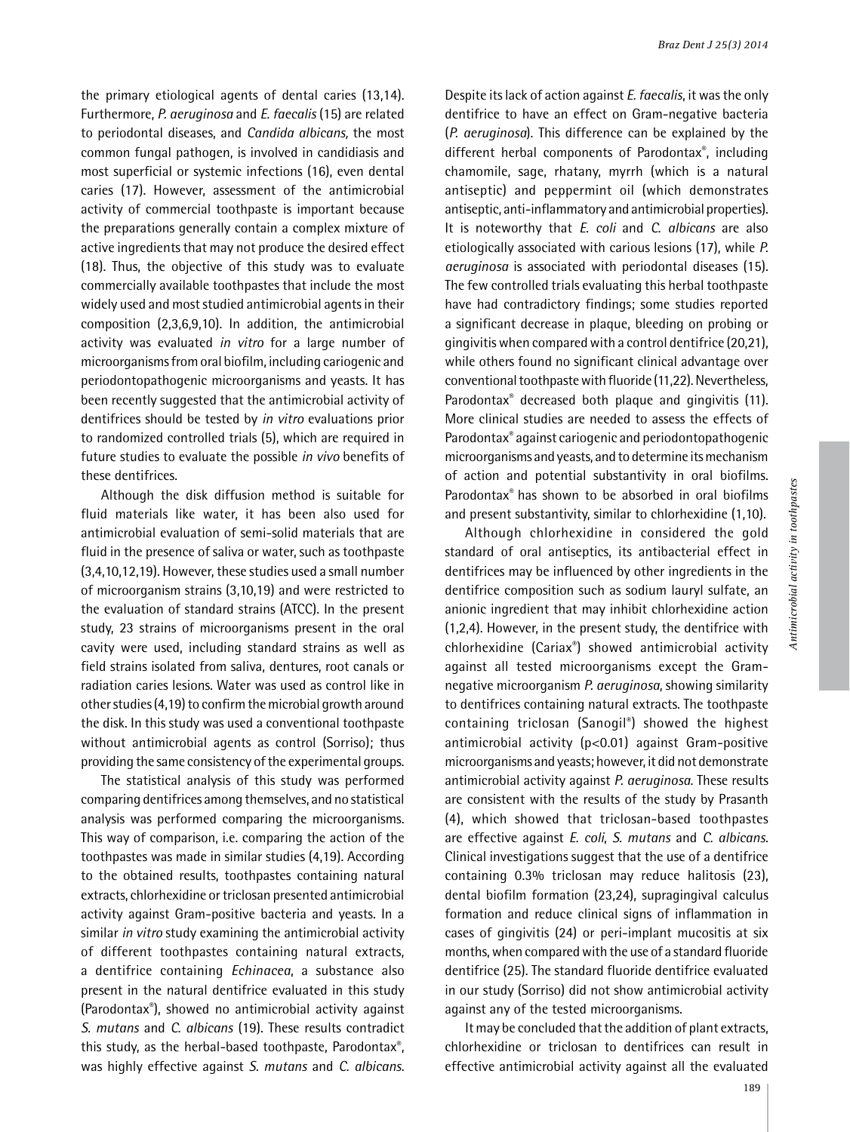*Braz Dent J 25(3) 2014*

the primary etiological agents of dental caries (13,14). Furthermore, *P. aeruginosa* and *E. faecalis* (15) are related to periodontal diseases, and *Candida albicans,* the most common fungal pathogen, is involved in candidiasis and most superficial or systemic infections (16), even dental caries (17). However, assessment of the antimicrobial activity of commercial toothpaste is important because the preparations generally contain a complex mixture of active ingredients that may not produce the desired effect (18). Thus, the objective of this study was to evaluate commercially available toothpastes that include the most widely used and most studied antimicrobial agents in their composition (2,3,6,9,10). In addition, the antimicrobial activity was evaluated *in vitro* for a large number of microorganisms from oral biofilm, including cariogenic and periodontopathogenic microorganisms and yeasts. It has been recently suggested that the antimicrobial activity of dentifrices should be tested by *in vitro* evaluations prior to randomized controlled trials (5), which are required in future studies to evaluate the possible *in vivo* benefits of these dentifrices.

Although the disk diffusion method is suitable for fluid materials like water, it has been also used for antimicrobial evaluation of semi-solid materials that are fluid in the presence of saliva or water, such as toothpaste (3,4,10,12,19). However, these studies used a small number of microorganism strains (3,10,19) and were restricted to the evaluation of standard strains (ATCC). In the present study, 23 strains of microorganisms present in the oral cavity were used, including standard strains as well as field strains isolated from saliva, dentures, root canals or radiation caries lesions. Water was used as control like in other studies (4,19) to confirm the microbial growth around the disk. In this study was used a conventional toothpaste without antimicrobial agents as control (Sorriso); thus providing the same consistency of the experimental groups.

The statistical analysis of this study was performed comparing dentifrices among themselves, and no statistical analysis was performed comparing the microorganisms. This way of comparison, i.e. comparing the action of the toothpastes was made in similar studies (4,19). According to the obtained results, toothpastes containing natural extracts, chlorhexidine or triclosan presented antimicrobial activity against Gram-positive bacteria and yeasts. In a similar *in vitro* study examining the antimicrobial activity of different toothpastes containing natural extracts, a dentifrice containing *Echinacea*, a substance also present in the natural dentifrice evaluated in this study (Parodontax®), showed no antimicrobial activity against *S. mutans* and *C. albicans* (19). These results contradict this study, as the herbal-based toothpaste, Parodontax®, was highly effective against *S. mutans* and *C. albicans*.

Despite its lack of action against *E. faecalis*, it was the only dentifrice to have an effect on Gram-negative bacteria (*P. aeruginosa*). This difference can be explained by the different herbal components of Parodontax®, including chamomile, sage, rhatany, myrrh (which is a natural antiseptic) and peppermint oil (which demonstrates antiseptic, anti-inflammatory and antimicrobial properties). It is noteworthy that *E. coli* and *C. albicans* are also etiologically associated with carious lesions (17), while *P. aeruginosa* is associated with periodontal diseases (15). The few controlled trials evaluating this herbal toothpaste have had contradictory findings; some studies reported a significant decrease in plaque, bleeding on probing or gingivitis when compared with a control dentifrice (20,21), while others found no significant clinical advantage over conventional toothpaste with fluoride (11,22). Nevertheless, Parodontax<sup>®</sup> decreased both plaque and gingivitis (11). More clinical studies are needed to assess the effects of Parodontax® against cariogenic and periodontopathogenic microorganisms and yeasts, and to determine its mechanism of action and potential substantivity in oral biofilms. Parodontax® has shown to be absorbed in oral biofilms and present substantivity, similar to chlorhexidine (1,10).

Although chlorhexidine in considered the gold standard of oral antiseptics, its antibacterial effect in dentifrices may be influenced by other ingredients in the dentifrice composition such as sodium lauryl sulfate, an anionic ingredient that may inhibit chlorhexidine action (1,2,4). However, in the present study, the dentifrice with chlorhexidine (Cariax®) showed antimicrobial activity against all tested microorganisms except the Gramnegative microorganism *P. aeruginosa*, showing similarity to dentifrices containing natural extracts. The toothpaste containing triclosan (Sanogil®) showed the highest antimicrobial activity (p<0.01) against Gram-positive microorganisms and yeasts; however, it did not demonstrate antimicrobial activity against *P. aeruginosa*. These results are consistent with the results of the study by Prasanth (4), which showed that triclosan-based toothpastes are effective against *E. coli*, *S. mutans* and *C. albicans*. Clinical investigations suggest that the use of a dentifrice containing 0.3% triclosan may reduce halitosis (23), dental biofilm formation (23,24), supragingival calculus formation and reduce clinical signs of inflammation in cases of gingivitis (24) or peri-implant mucositis at six months, when compared with the use of a standard fluoride dentifrice (25). The standard fluoride dentifrice evaluated in our study (Sorriso) did not show antimicrobial activity against any of the tested microorganisms.

It may be concluded that the addition of plant extracts, chlorhexidine or triclosan to dentifrices can result in effective antimicrobial activity against all the evaluated